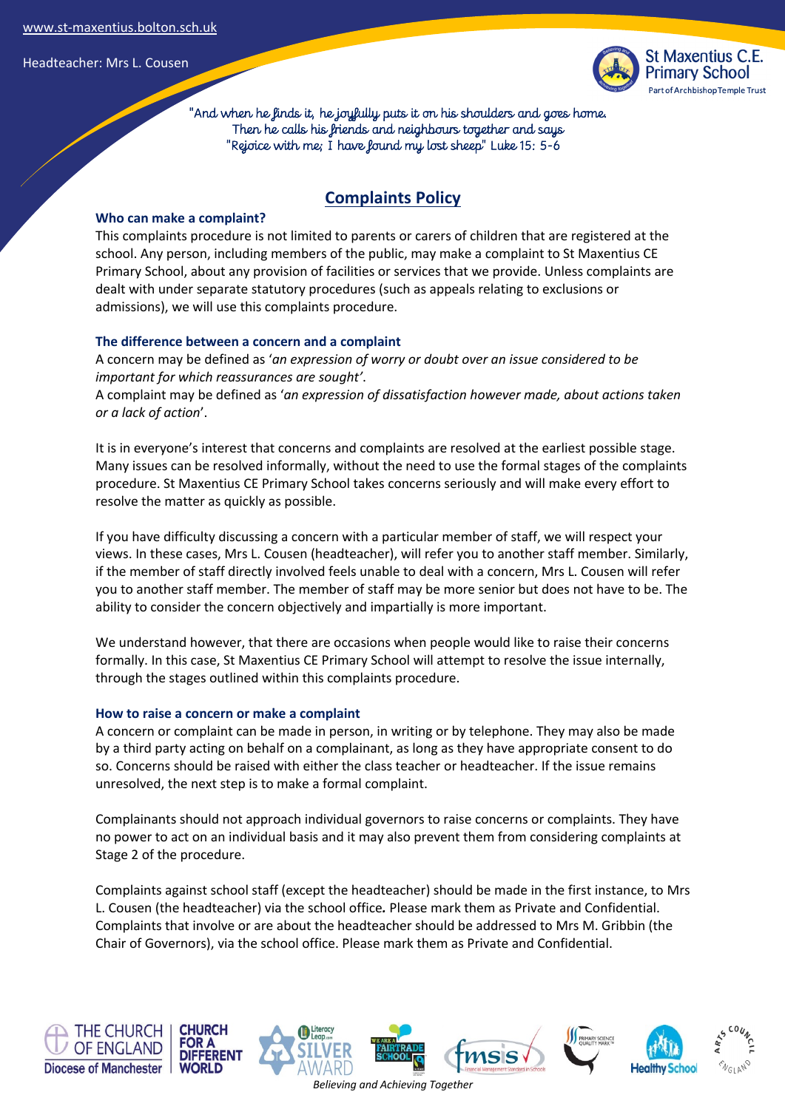

 "And when he finds it, he joyfully puts it on his shoulders and goes home. Then he calls his friends and neighbours together and says "Rejoice with me; I have found my lost sheep" Luke 15: 5-6

# **Complaints Policy**

#### **Who can make a complaint?**

This complaints procedure is not limited to parents or carers of children that are registered at the school. Any person, including members of the public, may make a complaint to St Maxentius CE Primary School, about any provision of facilities or services that we provide. Unless complaints are dealt with under separate statutory procedures (such as appeals relating to exclusions or admissions), we will use this complaints procedure.

### **The difference between a concern and a complaint**

A concern may be defined as '*an expression of worry or doubt over an issue considered to be important for which reassurances are sought'*.

A complaint may be defined as '*an expression of dissatisfaction however made, about actions taken or a lack of action*'.

It is in everyone's interest that concerns and complaints are resolved at the earliest possible stage. Many issues can be resolved informally, without the need to use the formal stages of the complaints procedure. St Maxentius CE Primary School takes concerns seriously and will make every effort to resolve the matter as quickly as possible.

If you have difficulty discussing a concern with a particular member of staff, we will respect your views. In these cases, Mrs L. Cousen (headteacher), will refer you to another staff member. Similarly, if the member of staff directly involved feels unable to deal with a concern, Mrs L. Cousen will refer you to another staff member. The member of staff may be more senior but does not have to be. The ability to consider the concern objectively and impartially is more important.

We understand however, that there are occasions when people would like to raise their concerns formally. In this case, St Maxentius CE Primary School will attempt to resolve the issue internally, through the stages outlined within this complaints procedure.

#### **How to raise a concern or make a complaint**

A concern or complaint can be made in person, in writing or by telephone. They may also be made by a third party acting on behalf on a complainant, as long as they have appropriate consent to do so. Concerns should be raised with either the class teacher or headteacher. If the issue remains unresolved, the next step is to make a formal complaint.

Complainants should not approach individual governors to raise concerns or complaints. They have no power to act on an individual basis and it may also prevent them from considering complaints at Stage 2 of the procedure.

Complaints against school staff (except the headteacher) should be made in the first instance, to Mrs L. Cousen (the headteacher) via the school office*.* Please mark them as Private and Confidential. Complaints that involve or are about the headteacher should be addressed to Mrs M. Gribbin (the Chair of Governors), via the school office. Please mark them as Private and Confidential.

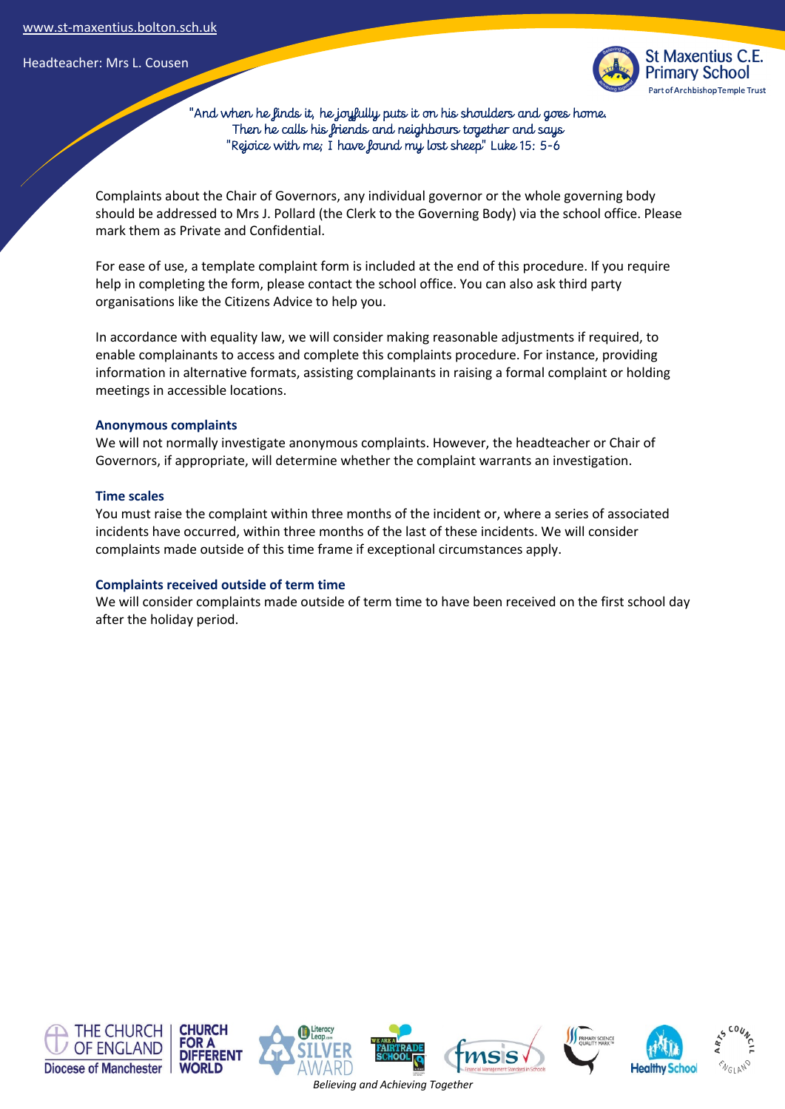

 "And when he finds it, he joyfully puts it on his shoulders and goes home. Then he calls his friends and neighbours together and says "Rejoice with me; I have found my lost sheep" Luke 15: 5-6

Complaints about the Chair of Governors, any individual governor or the whole governing body should be addressed to Mrs J. Pollard (the Clerk to the Governing Body) via the school office. Please mark them as Private and Confidential.

For ease of use, a template complaint form is included at the end of this procedure. If you require help in completing the form, please contact the school office. You can also ask third party organisations like the Citizens Advice to help you.

In accordance with equality law, we will consider making reasonable adjustments if required, to enable complainants to access and complete this complaints procedure. For instance, providing information in alternative formats, assisting complainants in raising a formal complaint or holding meetings in accessible locations.

#### **Anonymous complaints**

We will not normally investigate anonymous complaints. However, the headteacher or Chair of Governors, if appropriate, will determine whether the complaint warrants an investigation.

#### **Time scales**

You must raise the complaint within three months of the incident or, where a series of associated incidents have occurred, within three months of the last of these incidents. We will consider complaints made outside of this time frame if exceptional circumstances apply.

#### **Complaints received outside of term time**

We will consider complaints made outside of term time to have been received on the first school day after the holiday period.

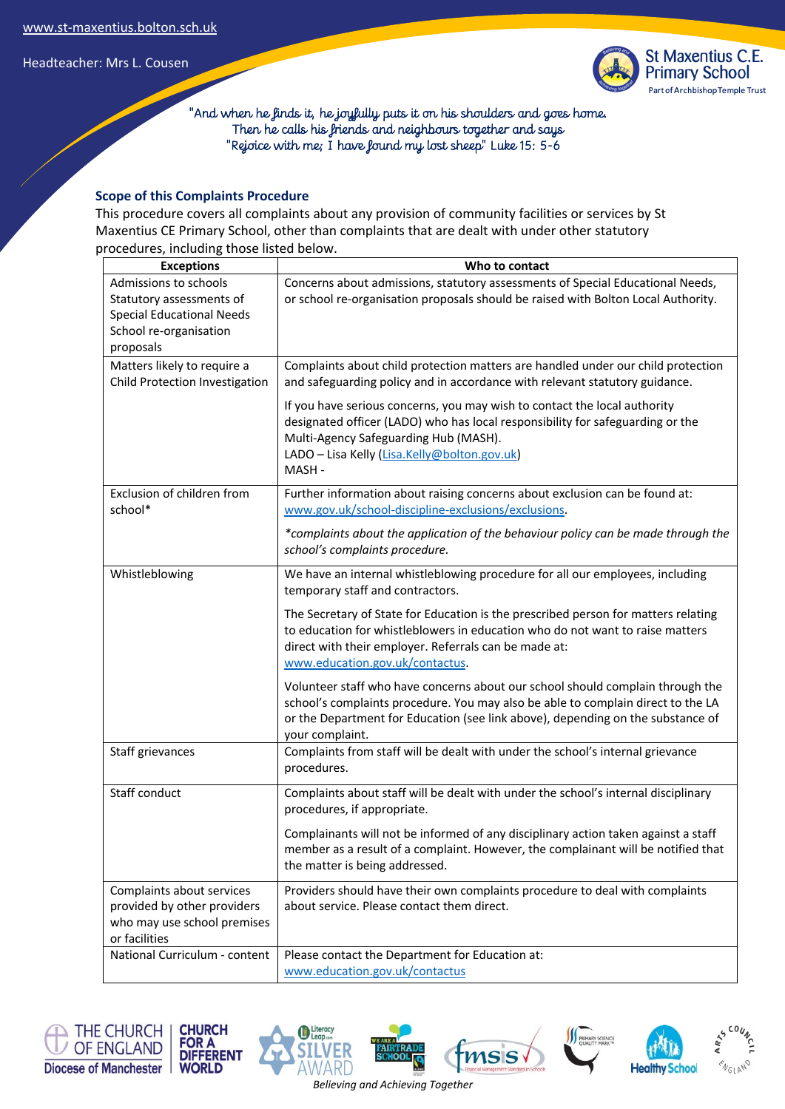

 "And when he finds it, he joyfully puts it on his shoulders and goes home. Then he calls his friends and neighbours together and says "Rejoice with me; I have found my lost sheep" Luke 15: 5-6

### **Scope of this Complaints Procedure**

This procedure covers all complaints about any provision of community facilities or services by St Maxentius CE Primary School, other than complaints that are dealt with under other statutory procedures, including those listed below.

| <b>Exceptions</b>                                                                                                            | Who to contact                                                                                                                                                                                                                                                                                                                               |
|------------------------------------------------------------------------------------------------------------------------------|----------------------------------------------------------------------------------------------------------------------------------------------------------------------------------------------------------------------------------------------------------------------------------------------------------------------------------------------|
| Admissions to schools<br>Statutory assessments of<br><b>Special Educational Needs</b><br>School re-organisation<br>proposals | Concerns about admissions, statutory assessments of Special Educational Needs,<br>or school re-organisation proposals should be raised with Bolton Local Authority.                                                                                                                                                                          |
| Matters likely to require a                                                                                                  | Complaints about child protection matters are handled under our child protection                                                                                                                                                                                                                                                             |
| Child Protection Investigation                                                                                               | and safeguarding policy and in accordance with relevant statutory guidance.<br>If you have serious concerns, you may wish to contact the local authority<br>designated officer (LADO) who has local responsibility for safeguarding or the<br>Multi-Agency Safeguarding Hub (MASH).<br>LADO - Lisa Kelly (Lisa.Kelly@bolton.gov.uk)<br>MASH- |
| Exclusion of children from<br>school*                                                                                        | Further information about raising concerns about exclusion can be found at:<br>www.gov.uk/school-discipline-exclusions/exclusions.                                                                                                                                                                                                           |
|                                                                                                                              | *complaints about the application of the behaviour policy can be made through the<br>school's complaints procedure.                                                                                                                                                                                                                          |
| Whistleblowing                                                                                                               | We have an internal whistleblowing procedure for all our employees, including<br>temporary staff and contractors.                                                                                                                                                                                                                            |
|                                                                                                                              | The Secretary of State for Education is the prescribed person for matters relating<br>to education for whistleblowers in education who do not want to raise matters<br>direct with their employer. Referrals can be made at:<br>www.education.gov.uk/contactus.                                                                              |
|                                                                                                                              | Volunteer staff who have concerns about our school should complain through the<br>school's complaints procedure. You may also be able to complain direct to the LA<br>or the Department for Education (see link above), depending on the substance of<br>your complaint.                                                                     |
| Staff grievances                                                                                                             | Complaints from staff will be dealt with under the school's internal grievance<br>procedures.                                                                                                                                                                                                                                                |
| Staff conduct                                                                                                                | Complaints about staff will be dealt with under the school's internal disciplinary<br>procedures, if appropriate.                                                                                                                                                                                                                            |
|                                                                                                                              | Complainants will not be informed of any disciplinary action taken against a staff<br>member as a result of a complaint. However, the complainant will be notified that<br>the matter is being addressed.                                                                                                                                    |
| Complaints about services<br>provided by other providers<br>who may use school premises<br>or facilities                     | Providers should have their own complaints procedure to deal with complaints<br>about service. Please contact them direct.                                                                                                                                                                                                                   |
| National Curriculum - content                                                                                                | Please contact the Department for Education at:<br>www.education.gov.uk/contactus                                                                                                                                                                                                                                                            |











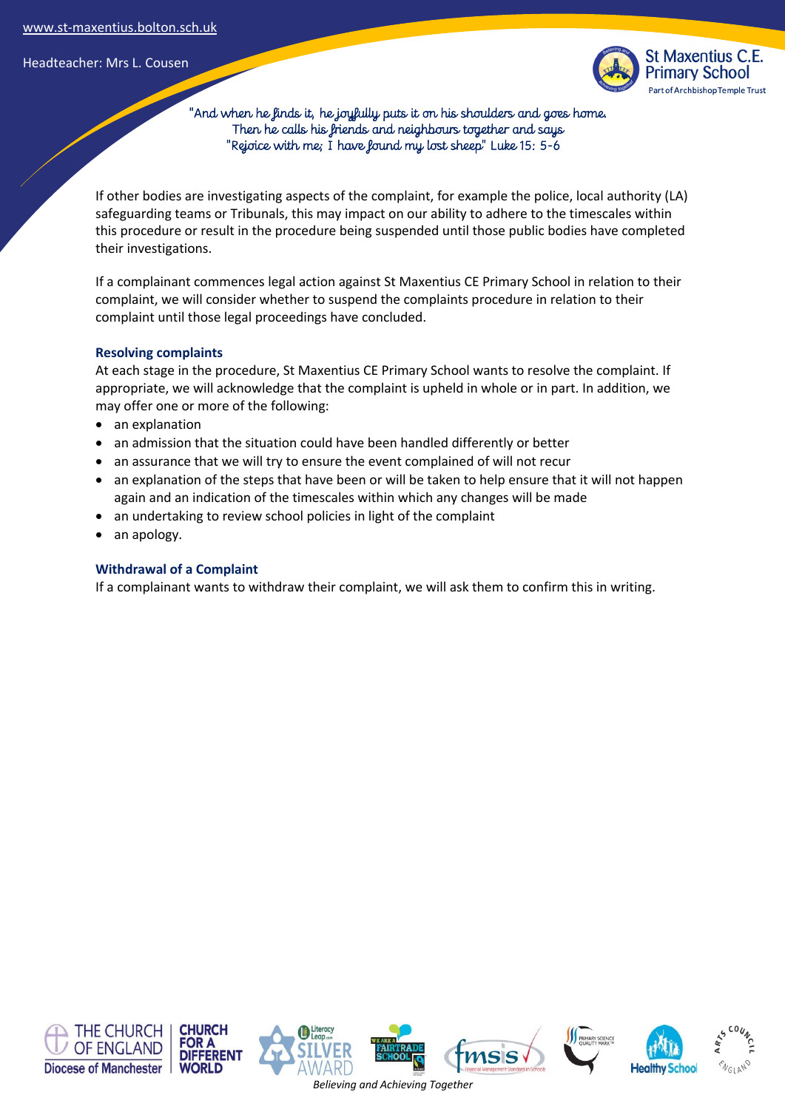

 "And when he finds it, he joyfully puts it on his shoulders and goes home. Then he calls his friends and neighbours together and says "Rejoice with me; I have found my lost sheep" Luke 15: 5-6

If other bodies are investigating aspects of the complaint, for example the police, local authority (LA) safeguarding teams or Tribunals, this may impact on our ability to adhere to the timescales within this procedure or result in the procedure being suspended until those public bodies have completed their investigations.

If a complainant commences legal action against St Maxentius CE Primary School in relation to their complaint, we will consider whether to suspend the complaints procedure in relation to their complaint until those legal proceedings have concluded.

#### **Resolving complaints**

At each stage in the procedure, St Maxentius CE Primary School wants to resolve the complaint. If appropriate, we will acknowledge that the complaint is upheld in whole or in part. In addition, we may offer one or more of the following:

- an explanation
- an admission that the situation could have been handled differently or better
- an assurance that we will try to ensure the event complained of will not recur
- an explanation of the steps that have been or will be taken to help ensure that it will not happen again and an indication of the timescales within which any changes will be made
- an undertaking to review school policies in light of the complaint
- an apology.

#### **Withdrawal of a Complaint**

If a complainant wants to withdraw their complaint, we will ask them to confirm this in writing.

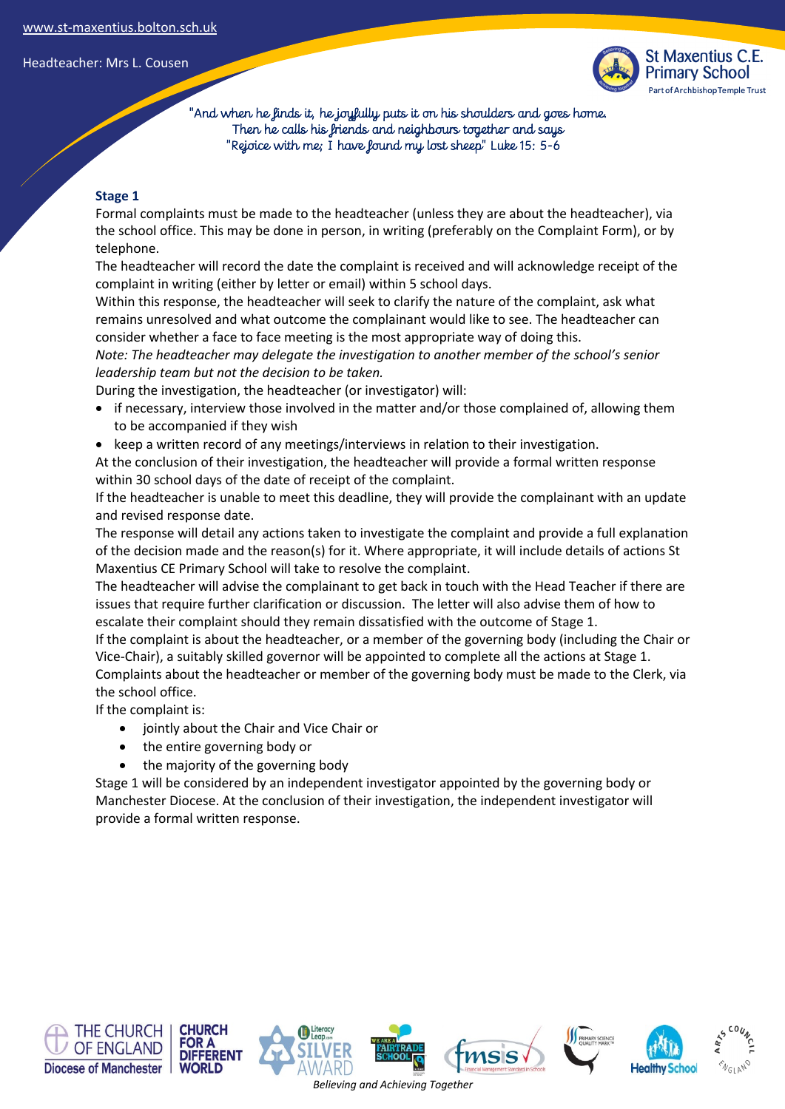

 "And when he finds it, he joyfully puts it on his shoulders and goes home. Then he calls his friends and neighbours together and says "Rejoice with me; I have found my lost sheep" Luke 15: 5-6

### **Stage 1**

Formal complaints must be made to the headteacher (unless they are about the headteacher), via the school office. This may be done in person, in writing (preferably on the Complaint Form), or by telephone.

The headteacher will record the date the complaint is received and will acknowledge receipt of the complaint in writing (either by letter or email) within 5 school days.

Within this response, the headteacher will seek to clarify the nature of the complaint, ask what remains unresolved and what outcome the complainant would like to see. The headteacher can consider whether a face to face meeting is the most appropriate way of doing this.

*Note: The headteacher may delegate the investigation to another member of the school's senior leadership team but not the decision to be taken.*

During the investigation, the headteacher (or investigator) will:

- if necessary, interview those involved in the matter and/or those complained of, allowing them to be accompanied if they wish
- keep a written record of any meetings/interviews in relation to their investigation.

At the conclusion of their investigation, the headteacher will provide a formal written response within 30 school days of the date of receipt of the complaint.

If the headteacher is unable to meet this deadline, they will provide the complainant with an update and revised response date.

The response will detail any actions taken to investigate the complaint and provide a full explanation of the decision made and the reason(s) for it. Where appropriate, it will include details of actions St Maxentius CE Primary School will take to resolve the complaint.

The headteacher will advise the complainant to get back in touch with the Head Teacher if there are issues that require further clarification or discussion. The letter will also advise them of how to escalate their complaint should they remain dissatisfied with the outcome of Stage 1.

If the complaint is about the headteacher, or a member of the governing body (including the Chair or Vice-Chair), a suitably skilled governor will be appointed to complete all the actions at Stage 1. Complaints about the headteacher or member of the governing body must be made to the Clerk, via the school office.

If the complaint is:

- jointly about the Chair and Vice Chair or
- the entire governing body or
- the majority of the governing body

Stage 1 will be considered by an independent investigator appointed by the governing body or Manchester Diocese. At the conclusion of their investigation, the independent investigator will provide a formal written response.









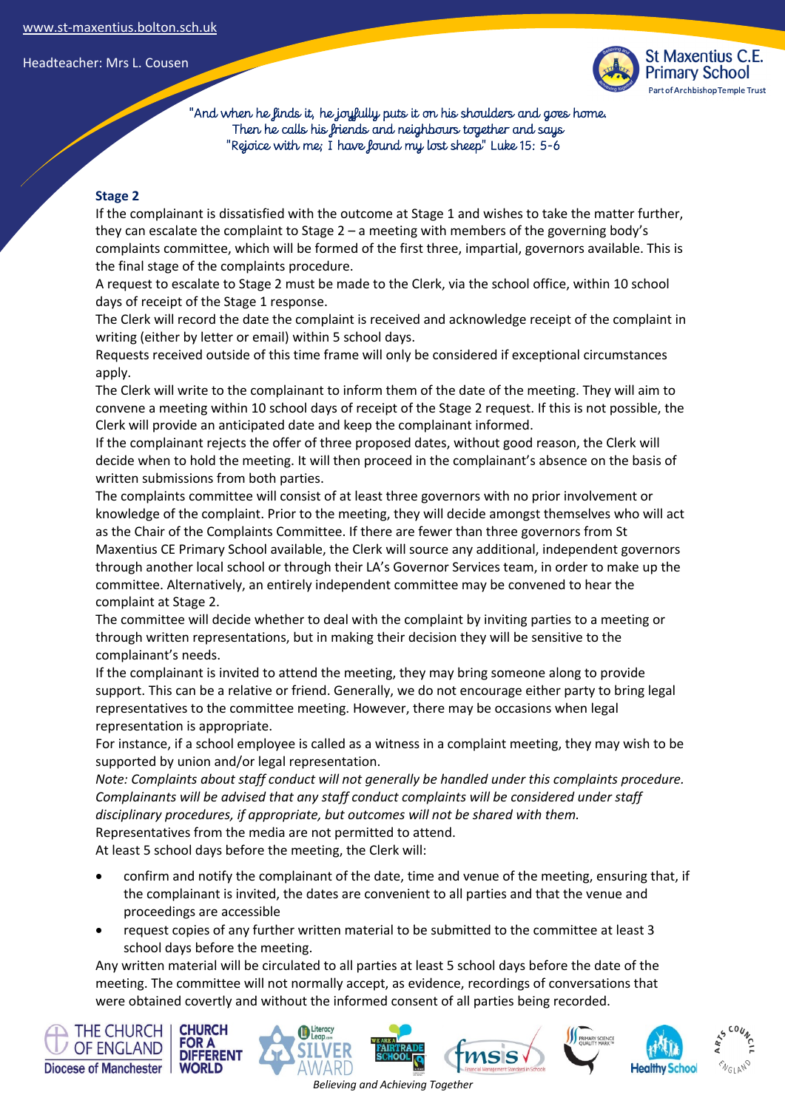

 "And when he finds it, he joyfully puts it on his shoulders and goes home. Then he calls his friends and neighbours together and says "Rejoice with me; I have found my lost sheep" Luke 15: 5-6

### **Stage 2**

If the complainant is dissatisfied with the outcome at Stage 1 and wishes to take the matter further, they can escalate the complaint to Stage 2 – a meeting with members of the governing body's complaints committee, which will be formed of the first three, impartial, governors available. This is the final stage of the complaints procedure.

A request to escalate to Stage 2 must be made to the Clerk, via the school office, within 10 school days of receipt of the Stage 1 response.

The Clerk will record the date the complaint is received and acknowledge receipt of the complaint in writing (either by letter or email) within 5 school days.

Requests received outside of this time frame will only be considered if exceptional circumstances apply.

The Clerk will write to the complainant to inform them of the date of the meeting. They will aim to convene a meeting within 10 school days of receipt of the Stage 2 request. If this is not possible, the Clerk will provide an anticipated date and keep the complainant informed.

If the complainant rejects the offer of three proposed dates, without good reason, the Clerk will decide when to hold the meeting. It will then proceed in the complainant's absence on the basis of written submissions from both parties.

The complaints committee will consist of at least three governors with no prior involvement or knowledge of the complaint. Prior to the meeting, they will decide amongst themselves who will act as the Chair of the Complaints Committee. If there are fewer than three governors from St Maxentius CE Primary School available, the Clerk will source any additional, independent governors through another local school or through their LA's Governor Services team, in order to make up the committee. Alternatively, an entirely independent committee may be convened to hear the complaint at Stage 2.

The committee will decide whether to deal with the complaint by inviting parties to a meeting or through written representations, but in making their decision they will be sensitive to the complainant's needs.

If the complainant is invited to attend the meeting, they may bring someone along to provide support. This can be a relative or friend. Generally, we do not encourage either party to bring legal representatives to the committee meeting. However, there may be occasions when legal representation is appropriate.

For instance, if a school employee is called as a witness in a complaint meeting, they may wish to be supported by union and/or legal representation.

*Note: Complaints about staff conduct will not generally be handled under this complaints procedure. Complainants will be advised that any staff conduct complaints will be considered under staff disciplinary procedures, if appropriate, but outcomes will not be shared with them.* 

Representatives from the media are not permitted to attend.

At least 5 school days before the meeting, the Clerk will:

- confirm and notify the complainant of the date, time and venue of the meeting, ensuring that, if the complainant is invited, the dates are convenient to all parties and that the venue and proceedings are accessible
- request copies of any further written material to be submitted to the committee at least 3 school days before the meeting.

Any written material will be circulated to all parties at least 5 school days before the date of the meeting. The committee will not normally accept, as evidence, recordings of conversations that were obtained covertly and without the informed consent of all parties being recorded.

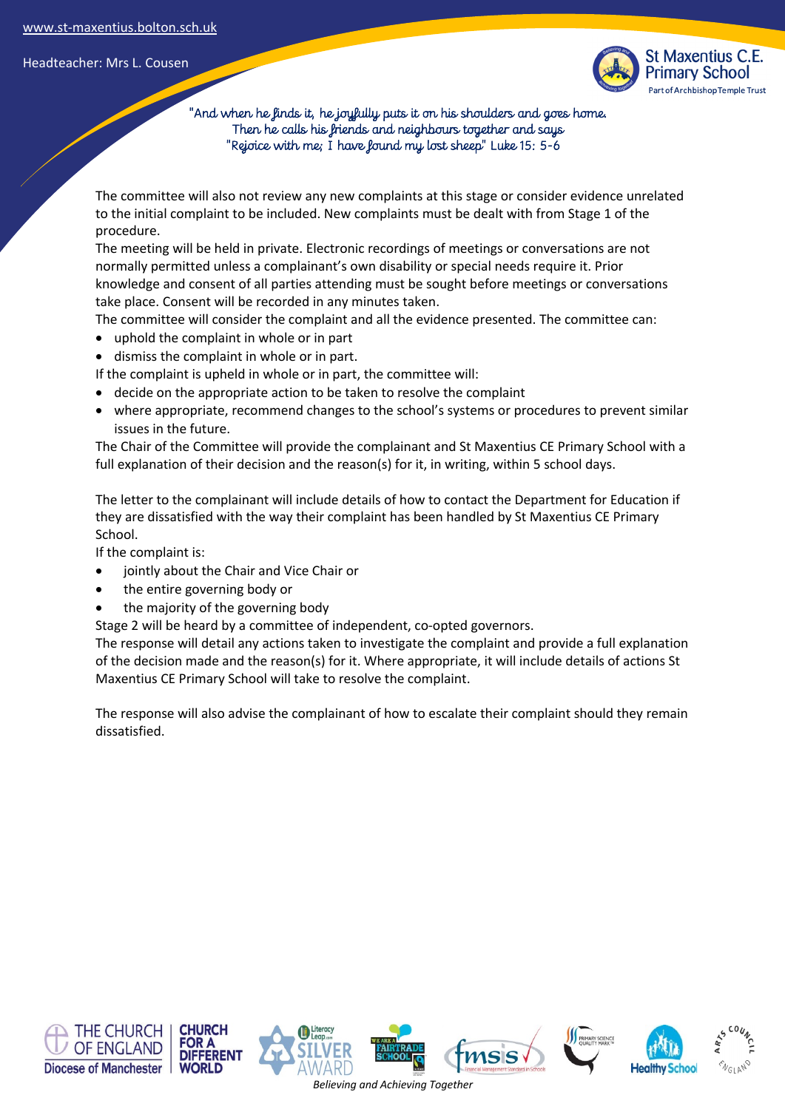

 "And when he finds it, he joyfully puts it on his shoulders and goes home. Then he calls his friends and neighbours together and says "Rejoice with me; I have found my lost sheep" Luke 15: 5-6

The committee will also not review any new complaints at this stage or consider evidence unrelated to the initial complaint to be included. New complaints must be dealt with from Stage 1 of the procedure.

The meeting will be held in private. Electronic recordings of meetings or conversations are not normally permitted unless a complainant's own disability or special needs require it. Prior knowledge and consent of all parties attending must be sought before meetings or conversations take place. Consent will be recorded in any minutes taken.

The committee will consider the complaint and all the evidence presented. The committee can:

- uphold the complaint in whole or in part
- dismiss the complaint in whole or in part.

If the complaint is upheld in whole or in part, the committee will:

- decide on the appropriate action to be taken to resolve the complaint
- where appropriate, recommend changes to the school's systems or procedures to prevent similar issues in the future.

The Chair of the Committee will provide the complainant and St Maxentius CE Primary School with a full explanation of their decision and the reason(s) for it, in writing, within 5 school days.

The letter to the complainant will include details of how to contact the Department for Education if they are dissatisfied with the way their complaint has been handled by St Maxentius CE Primary School.

If the complaint is:

- jointly about the Chair and Vice Chair or
- the entire governing body or
- the majority of the governing body

Stage 2 will be heard by a committee of independent, co-opted governors.

The response will detail any actions taken to investigate the complaint and provide a full explanation of the decision made and the reason(s) for it. Where appropriate, it will include details of actions St Maxentius CE Primary School will take to resolve the complaint.

The response will also advise the complainant of how to escalate their complaint should they remain dissatisfied.

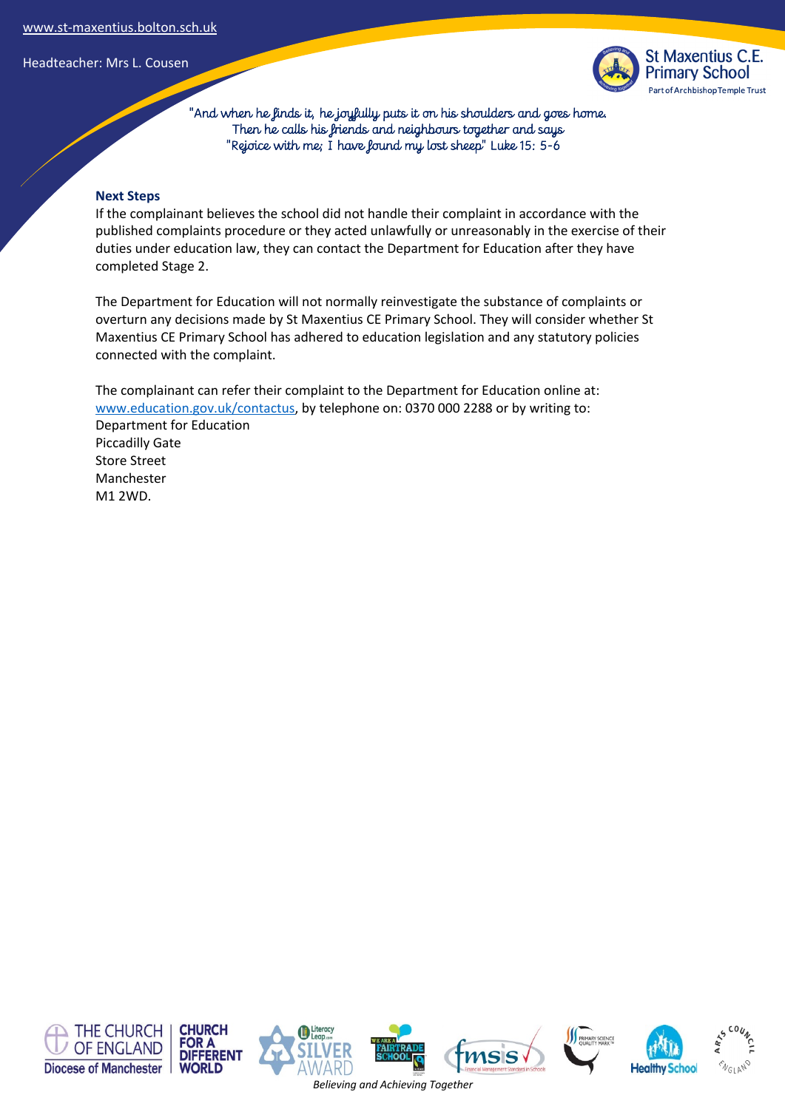

 "And when he finds it, he joyfully puts it on his shoulders and goes home. Then he calls his friends and neighbours together and says "Rejoice with me; I have found my lost sheep" Luke 15: 5-6

#### **Next Steps**

If the complainant believes the school did not handle their complaint in accordance with the published complaints procedure or they acted unlawfully or unreasonably in the exercise of their duties under education law, they can contact the Department for Education after they have completed Stage 2.

The Department for Education will not normally reinvestigate the substance of complaints or overturn any decisions made by St Maxentius CE Primary School. They will consider whether St Maxentius CE Primary School has adhered to education legislation and any statutory policies connected with the complaint.

The complainant can refer their complaint to the Department for Education online at: www.education.gov.uk/contactus, by telephone on: 0370 000 2288 or by writing to: Department for Education Piccadilly Gate Store Street Manchester M1 2WD.

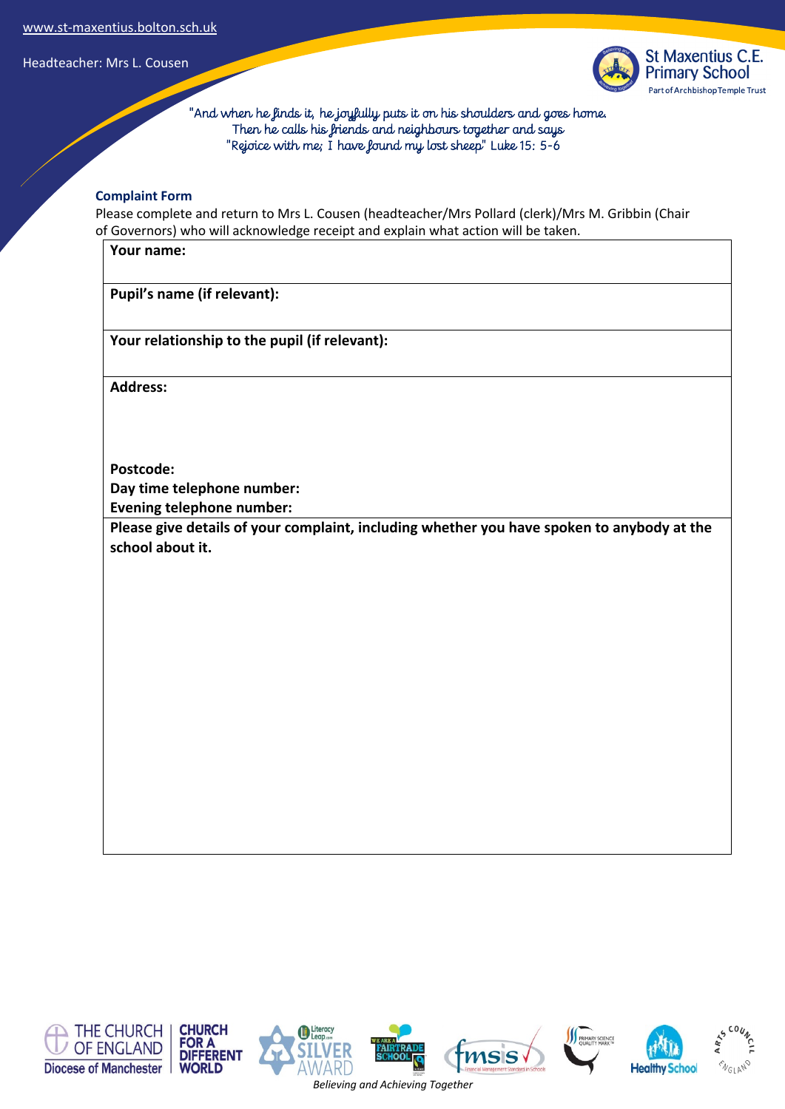

 "And when he finds it, he joyfully puts it on his shoulders and goes home. Then he calls his friends and neighbours together and says "Rejoice with me; I have found my lost sheep" Luke 15: 5-6

#### **Complaint Form**

Please complete and return to Mrs L. Cousen (headteacher/Mrs Pollard (clerk)/Mrs M. Gribbin (Chair of Governors) who will acknowledge receipt and explain what action will be taken.

**Your name:**

**Pupil's name (if relevant):**

**Your relationship to the pupil (if relevant):**

**Address:** 

**Postcode: Day time telephone number:**

**Evening telephone number:**

**Please give details of your complaint, including whether you have spoken to anybody at the school about it.**

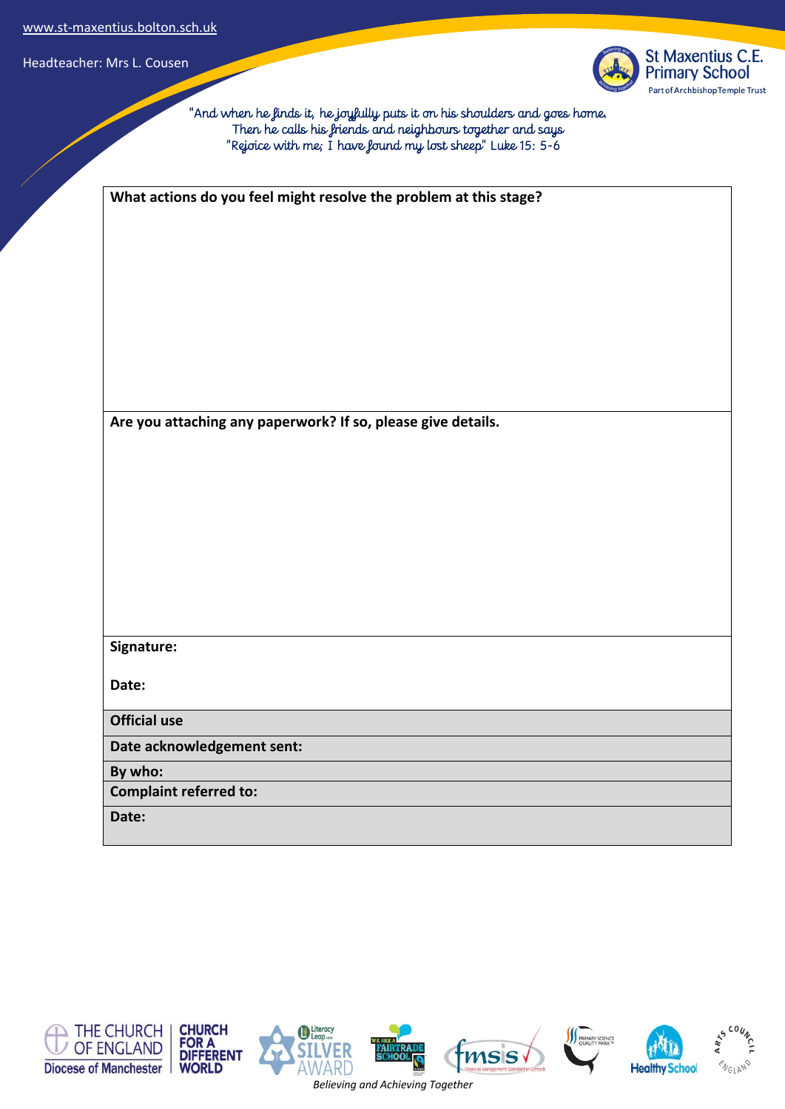

 "And when he finds it, he joyfully puts it on his shoulders and goes home. Then he calls his friends and neighbours together and says "Rejoice with me; I have found my lost sheep" Luke 15: 5-6

| What actions do you feel might resolve the problem at this stage? |
|-------------------------------------------------------------------|
|                                                                   |
|                                                                   |
|                                                                   |
|                                                                   |
|                                                                   |
|                                                                   |
|                                                                   |
| Are you attaching any paperwork? If so, please give details.      |
|                                                                   |
|                                                                   |
|                                                                   |
|                                                                   |
|                                                                   |
|                                                                   |
|                                                                   |
|                                                                   |
| Signature:                                                        |
| Date:                                                             |
| <b>Official use</b>                                               |
| Date acknowledgement sent:                                        |
| By who:                                                           |
| <b>Complaint referred to:</b>                                     |
| Date:                                                             |

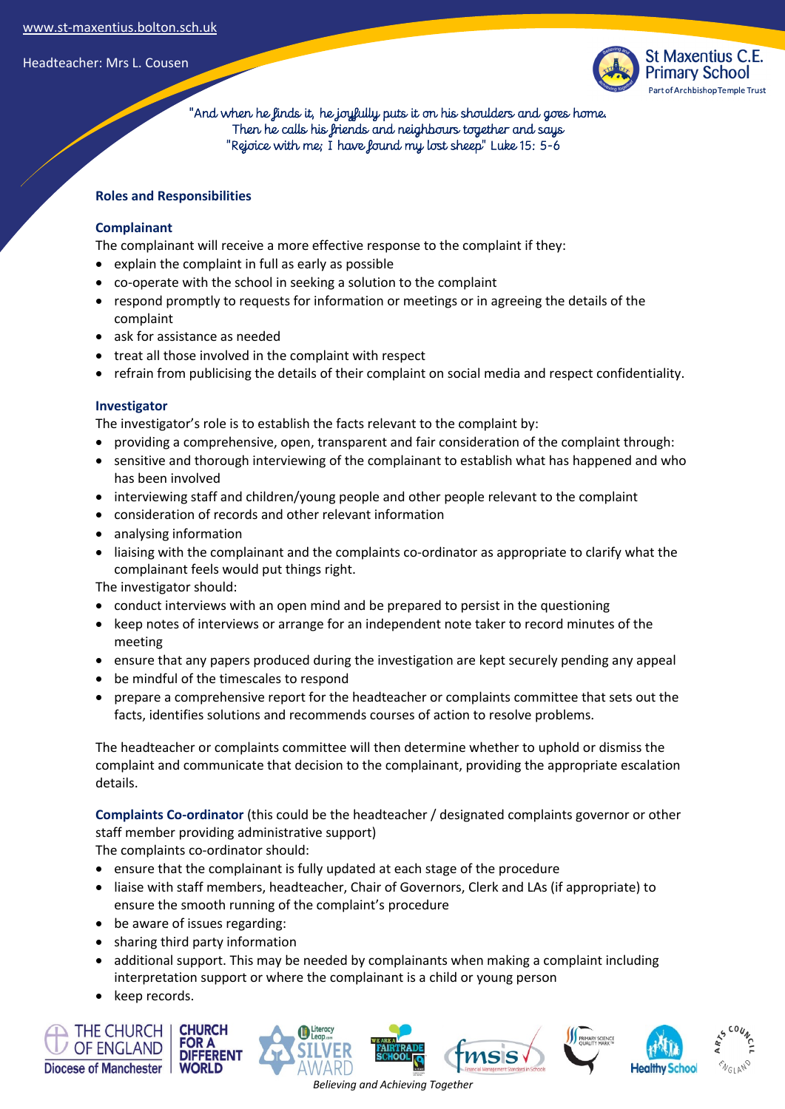

 "And when he finds it, he joyfully puts it on his shoulders and goes home. Then he calls his friends and neighbours together and says "Rejoice with me; I have found my lost sheep" Luke 15: 5-6

### **Roles and Responsibilities**

### **Complainant**

The complainant will receive a more effective response to the complaint if they:

- explain the complaint in full as early as possible
- co-operate with the school in seeking a solution to the complaint
- respond promptly to requests for information or meetings or in agreeing the details of the complaint
- ask for assistance as needed
- treat all those involved in the complaint with respect
- refrain from publicising the details of their complaint on social media and respect confidentiality.

### **Investigator**

The investigator's role is to establish the facts relevant to the complaint by:

- providing a comprehensive, open, transparent and fair consideration of the complaint through:
- sensitive and thorough interviewing of the complainant to establish what has happened and who has been involved
- interviewing staff and children/young people and other people relevant to the complaint
- consideration of records and other relevant information
- analysing information
- liaising with the complainant and the complaints co-ordinator as appropriate to clarify what the complainant feels would put things right.

The investigator should:

- conduct interviews with an open mind and be prepared to persist in the questioning
- keep notes of interviews or arrange for an independent note taker to record minutes of the meeting
- ensure that any papers produced during the investigation are kept securely pending any appeal
- be mindful of the timescales to respond
- prepare a comprehensive report for the headteacher or complaints committee that sets out the facts, identifies solutions and recommends courses of action to resolve problems.

The headteacher or complaints committee will then determine whether to uphold or dismiss the complaint and communicate that decision to the complainant, providing the appropriate escalation details.

**Complaints Co-ordinator** (this could be the headteacher / designated complaints governor or other staff member providing administrative support)

The complaints co-ordinator should:

- ensure that the complainant is fully updated at each stage of the procedure
- liaise with staff members, headteacher, Chair of Governors, Clerk and LAs (if appropriate) to ensure the smooth running of the complaint's procedure
- be aware of issues regarding:
- sharing third party information
- additional support. This may be needed by complainants when making a complaint including interpretation support or where the complainant is a child or young person
- keep records.

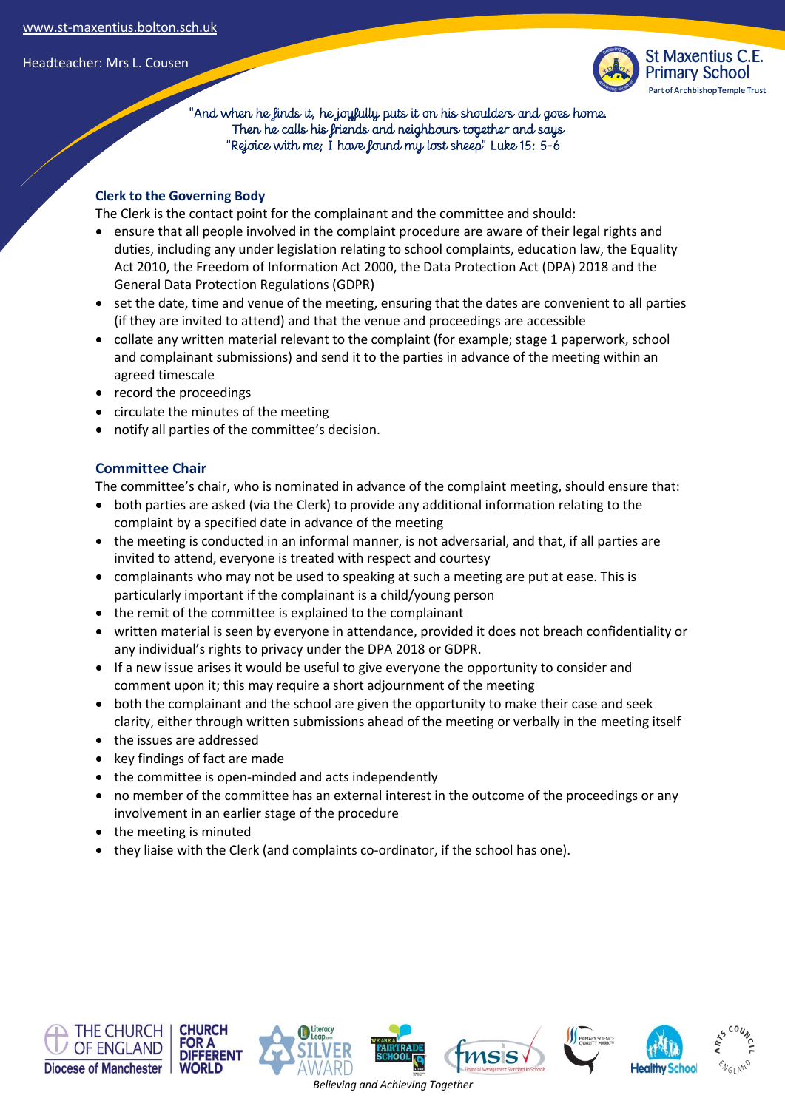

 "And when he finds it, he joyfully puts it on his shoulders and goes home. Then he calls his friends and neighbours together and says "Rejoice with me; I have found my lost sheep" Luke 15: 5-6

### **Clerk to the Governing Body**

The Clerk is the contact point for the complainant and the committee and should:

- ensure that all people involved in the complaint procedure are aware of their legal rights and duties, including any under legislation relating to school complaints, education law, the Equality Act 2010, the Freedom of Information Act 2000, the Data Protection Act (DPA) 2018 and the General Data Protection Regulations (GDPR)
- set the date, time and venue of the meeting, ensuring that the dates are convenient to all parties (if they are invited to attend) and that the venue and proceedings are accessible
- collate any written material relevant to the complaint (for example; stage 1 paperwork, school and complainant submissions) and send it to the parties in advance of the meeting within an agreed timescale
- record the proceedings
- circulate the minutes of the meeting
- notify all parties of the committee's decision.

## **Committee Chair**

The committee's chair, who is nominated in advance of the complaint meeting, should ensure that:

- both parties are asked (via the Clerk) to provide any additional information relating to the complaint by a specified date in advance of the meeting
- the meeting is conducted in an informal manner, is not adversarial, and that, if all parties are invited to attend, everyone is treated with respect and courtesy
- complainants who may not be used to speaking at such a meeting are put at ease. This is particularly important if the complainant is a child/young person
- the remit of the committee is explained to the complainant
- written material is seen by everyone in attendance, provided it does not breach confidentiality or any individual's rights to privacy under the DPA 2018 or GDPR.
- If a new issue arises it would be useful to give everyone the opportunity to consider and comment upon it; this may require a short adjournment of the meeting
- both the complainant and the school are given the opportunity to make their case and seek clarity, either through written submissions ahead of the meeting or verbally in the meeting itself
- the issues are addressed
- key findings of fact are made
- the committee is open-minded and acts independently
- no member of the committee has an external interest in the outcome of the proceedings or any involvement in an earlier stage of the procedure
- the meeting is minuted
- they liaise with the Clerk (and complaints co-ordinator, if the school has one).